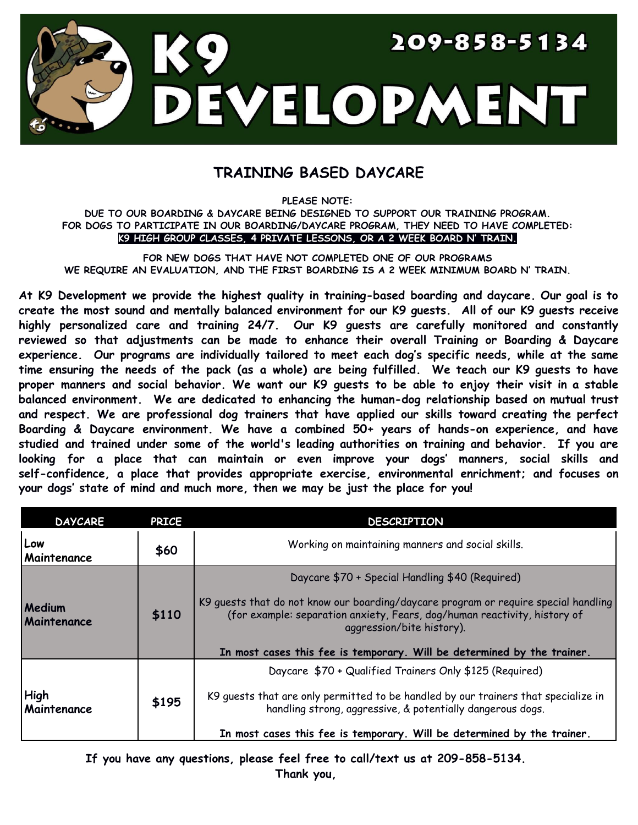

## **TRAINING BASED DAYCARE**

**PLEASE NOTE:**

## **DUE TO OUR BOARDING & DAYCARE BEING DESIGNED TO SUPPORT OUR TRAINING PROGRAM. FOR DOGS TO PARTICIPATE IN OUR BOARDING/DAYCARE PROGRAM, THEY NEED TO HAVE COMPLETED: K9 HIGH GROUP CLASSES, 4 PRIVATE LESSONS, OR A 2 WEEK BOARD N' TRAIN.**

**FOR NEW DOGS THAT HAVE NOT COMPLETED ONE OF OUR PROGRAMS WE REQUIRE AN EVALUATION, AND THE FIRST BOARDING IS A 2 WEEK MINIMUM BOARD N' TRAIN.**

**At K9 Development we provide the highest quality in training-based boarding and daycare. Our goal is to** create the most sound and mentally balanced environment for our K9 quests. All of our K9 quests receive **highly personalized care and training 24/7. Our K9 guests are carefully monitored and constantly reviewed so that adjustments can be made to enhance their overall Training or Boarding & Daycare experience. Our programs are individually tailored to meet each dog's specific needs, while at the same** time ensuring the needs of the pack (as a whole) are being fulfilled. We teach our K9 guests to have proper manners and social behavior. We want our K9 guests to be able to enjoy their visit in a stable **balanced environment. We are dedicated to enhancing the human-dog relationship based on mutual trust and respect. We are professional dog trainers that have applied our skills toward creating the perfect Boarding & Daycare environment. We have a combined 50+ years of hands-on experience, and have studied and trained under some of the world's leading authorities on training and behavior. If you are looking for a place that can maintain or even improve your dogs' manners, social skills and self-confidence, a place that provides appropriate exercise, environmental enrichment; and focuses on your dogs' state of mind and much more, then we may be just the place for you!**

| <b>DAYCARE</b>               | <b>PRICE</b> | <b>DESCRIPTION</b>                                                                                                                                                                            |  |
|------------------------------|--------------|-----------------------------------------------------------------------------------------------------------------------------------------------------------------------------------------------|--|
| Low<br>Maintenance           | \$60         | Working on maintaining manners and social skills.                                                                                                                                             |  |
|                              | \$110        | Daycare \$70 + Special Handling \$40 (Required)                                                                                                                                               |  |
| <b>Medium</b><br>Maintenance |              | K9 guests that do not know our boarding/daycare program or require special handling<br>(for example: separation anxiety, Fears, dog/human reactivity, history of<br>aggression/bite history). |  |
|                              |              | In most cases this fee is temporary. Will be determined by the trainer.                                                                                                                       |  |
|                              | \$195        | Daycare \$70 + Qualified Trainers Only \$125 (Required)                                                                                                                                       |  |
| High<br>Maintenance          |              | K9 quests that are only permitted to be handled by our trainers that specialize in<br>handling strong, aggressive, & potentially dangerous dogs.                                              |  |
|                              |              | In most cases this fee is temporary. Will be determined by the trainer.                                                                                                                       |  |

**If you have any questions, please feel free to call/text us at 209-858-5134. Thank you,**